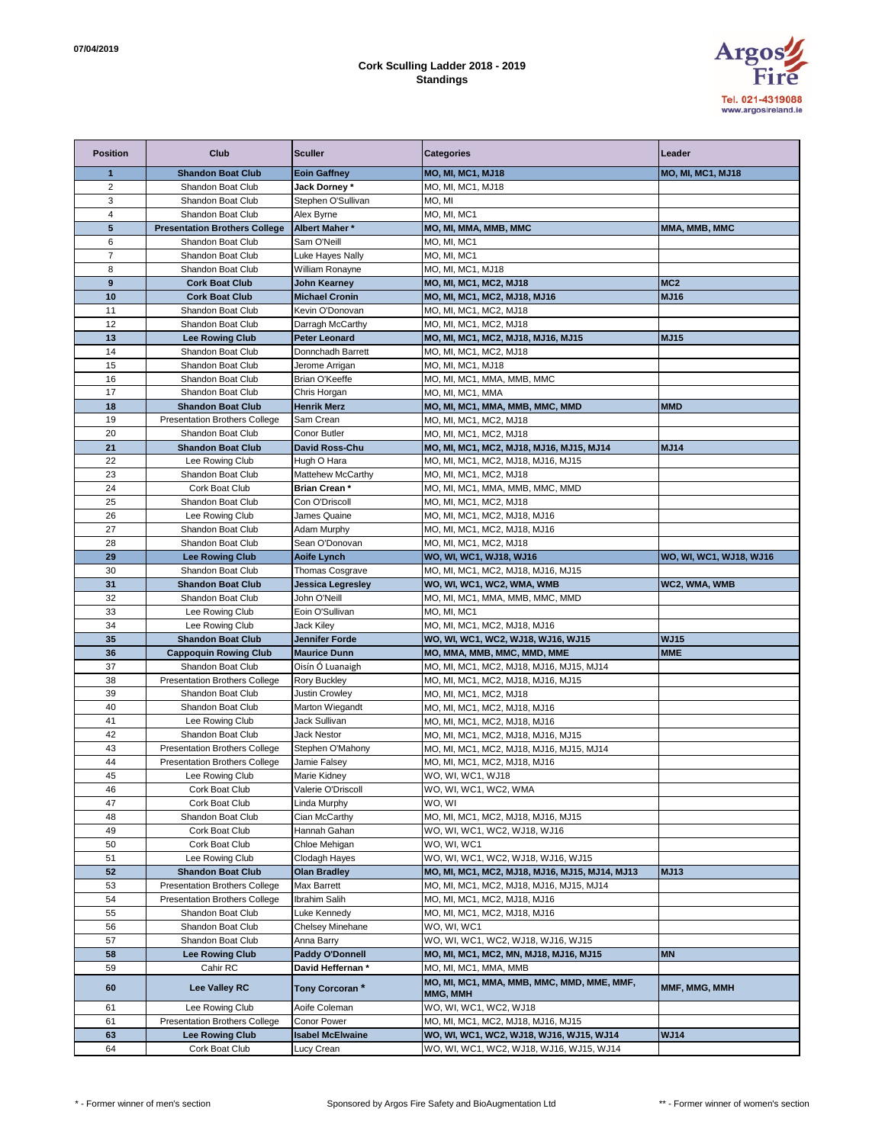## **Cork Sculling Ladder 2018 - 2019 Standings**



| <b>Position</b> | Club                                 | <b>Sculler</b>          | <b>Categories</b>                              | Leader                   |
|-----------------|--------------------------------------|-------------------------|------------------------------------------------|--------------------------|
| 1               | <b>Shandon Boat Club</b>             | <b>Eoin Gaffney</b>     | <b>MO, MI, MC1, MJ18</b>                       | <b>MO, MI, MC1, MJ18</b> |
| $\overline{2}$  | Shandon Boat Club                    | <b>Jack Dorney *</b>    | MO, MI, MC1, MJ18                              |                          |
| 3               | Shandon Boat Club                    | Stephen O'Sullivan      | MO, MI                                         |                          |
| 4               | Shandon Boat Club                    | Alex Byrne              | MO, MI, MC1                                    |                          |
| 5               | <b>Presentation Brothers College</b> | Albert Maher*           | MO, MI, MMA, MMB, MMC                          | MMA, MMB, MMC            |
| 6               | Shandon Boat Club                    | Sam O'Neill             | MO, MI, MC1                                    |                          |
| $\overline{7}$  | Shandon Boat Club                    | Luke Hayes Nally        | MO, MI, MC1                                    |                          |
| 8               | Shandon Boat Club                    | William Ronayne         | MO, MI, MC1, MJ18                              |                          |
| 9               | <b>Cork Boat Club</b>                | <b>John Kearney</b>     | <b>MO, MI, MC1, MC2, MJ18</b>                  | MC <sub>2</sub>          |
| 10              | <b>Cork Boat Club</b>                | <b>Michael Cronin</b>   | MO, MI, MC1, MC2, MJ18, MJ16                   | <b>MJ16</b>              |
| 11              | Shandon Boat Club                    | Kevin O'Donovan         | MO, MI, MC1, MC2, MJ18                         |                          |
| 12              | Shandon Boat Club                    | Darragh McCarthy        | MO, MI, MC1, MC2, MJ18                         |                          |
| 13              | <b>Lee Rowing Club</b>               | <b>Peter Leonard</b>    | MO, MI, MC1, MC2, MJ18, MJ16, MJ15             | <b>MJ15</b>              |
| 14              | Shandon Boat Club                    | Donnchadh Barrett       | MO, MI, MC1, MC2, MJ18                         |                          |
| 15              | Shandon Boat Club                    | Jerome Arrigan          | MO, MI, MC1, MJ18                              |                          |
| 16              | Shandon Boat Club                    | Brian O'Keeffe          | MO, MI, MC1, MMA, MMB, MMC                     |                          |
| 17              | Shandon Boat Club                    | Chris Horgan            | MO, MI, MC1, MMA                               |                          |
| 18              | <b>Shandon Boat Club</b>             | <b>Henrik Merz</b>      | MO, MI, MC1, MMA, MMB, MMC, MMD                | <b>MMD</b>               |
| 19              | <b>Presentation Brothers College</b> | Sam Crean               | MO, MI, MC1, MC2, MJ18                         |                          |
| 20              | Shandon Boat Club                    | Conor Butler            | MO, MI, MC1, MC2, MJ18                         |                          |
| 21              | <b>Shandon Boat Club</b>             | David Ross-Chu          | MO, MI, MC1, MC2, MJ18, MJ16, MJ15, MJ14       | <b>MJ14</b>              |
| 22              | Lee Rowing Club                      | Hugh O Hara             | MO, MI, MC1, MC2, MJ18, MJ16, MJ15             |                          |
| 23              | Shandon Boat Club                    | Mattehew McCarthy       | MO, MI, MC1, MC2, MJ18                         |                          |
| 24              | Cork Boat Club                       | Brian Crean*            | MO, MI, MC1, MMA, MMB, MMC, MMD                |                          |
| 25              | Shandon Boat Club                    | Con O'Driscoll          | MO, MI, MC1, MC2, MJ18                         |                          |
| 26              | Lee Rowing Club                      | James Quaine            | MO, MI, MC1, MC2, MJ18, MJ16                   |                          |
| 27              | Shandon Boat Club                    | Adam Murphy             | MO, MI, MC1, MC2, MJ18, MJ16                   |                          |
| 28              | Shandon Boat Club                    | Sean O'Donovan          | MO, MI, MC1, MC2, MJ18                         |                          |
| 29              | <b>Lee Rowing Club</b>               | Aoife Lynch             | WO, WI, WC1, WJ18, WJ16                        | WO, WI, WC1, WJ18, WJ16  |
| 30              | Shandon Boat Club                    | Thomas Cosgrave         | MO, MI, MC1, MC2, MJ18, MJ16, MJ15             |                          |
| 31              | <b>Shandon Boat Club</b>             | Jessica Legresley       | WO, WI, WC1, WC2, WMA, WMB                     | WC2, WMA, WMB            |
| 32              | Shandon Boat Club                    | John O'Neill            | MO, MI, MC1, MMA, MMB, MMC, MMD                |                          |
| 33              | Lee Rowing Club                      | Eoin O'Sullivan         | MO, MI, MC1                                    |                          |
| 34              | Lee Rowing Club                      | Jack Kiley              | MO, MI, MC1, MC2, MJ18, MJ16                   |                          |
| 35              | <b>Shandon Boat Club</b>             | <b>Jennifer Forde</b>   | WO, WI, WC1, WC2, WJ18, WJ16, WJ15             | <b>WJ15</b>              |
| 36              | <b>Cappoquin Rowing Club</b>         | <b>Maurice Dunn</b>     | MO, MMA, MMB, MMC, MMD, MME                    | <b>MME</b>               |
| 37              | Shandon Boat Club                    | Oisín Ó Luanaigh        | MO, MI, MC1, MC2, MJ18, MJ16, MJ15, MJ14       |                          |
| 38              | <b>Presentation Brothers College</b> | <b>Rory Buckley</b>     | MO, MI, MC1, MC2, MJ18, MJ16, MJ15             |                          |
| 39              | Shandon Boat Club                    | Justin Crowley          | MO, MI, MC1, MC2, MJ18                         |                          |
| 40              | Shandon Boat Club                    | Marton Wiegandt         | MO, MI, MC1, MC2, MJ18, MJ16                   |                          |
| 41              | Lee Rowing Club                      | Jack Sullivan           | MO, MI, MC1, MC2, MJ18, MJ16                   |                          |
| 42              | Shandon Boat Club                    | <b>Jack Nestor</b>      | MO, MI, MC1, MC2, MJ18, MJ16, MJ15             |                          |
| 43              | <b>Presentation Brothers College</b> | Stephen O'Mahony        | MO, MI, MC1, MC2, MJ18, MJ16, MJ15, MJ14       |                          |
| 44              | <b>Presentation Brothers College</b> | Jamie Falsey            | MO, MI, MC1, MC2, MJ18, MJ16                   |                          |
| 45              | Lee Rowing Club                      | Marie Kidney            | WO, WI, WC1, WJ18                              |                          |
| 46              | Cork Boat Club                       | Valerie O'Driscoll      | WO, WI, WC1, WC2, WMA                          |                          |
| 47              | Cork Boat Club                       | Linda Murphy            | WO, WI                                         |                          |
| 48              | Shandon Boat Club                    | Cian McCarthy           | MO, MI, MC1, MC2, MJ18, MJ16, MJ15             |                          |
| 49              | Cork Boat Club                       | Hannah Gahan            | WO, WI, WC1, WC2, WJ18, WJ16                   |                          |
| 50              | Cork Boat Club                       | Chloe Mehigan           | WO, WI, WC1                                    |                          |
| 51              | Lee Rowing Club                      | Clodagh Hayes           | WO, WI, WC1, WC2, WJ18, WJ16, WJ15             |                          |
| 52              | <b>Shandon Boat Club</b>             | <b>Olan Bradley</b>     | MO, MI, MC1, MC2, MJ18, MJ16, MJ15, MJ14, MJ13 | <b>MJ13</b>              |
| 53              | <b>Presentation Brothers College</b> | <b>Max Barrett</b>      | MO, MI, MC1, MC2, MJ18, MJ16, MJ15, MJ14       |                          |
| 54              | <b>Presentation Brothers College</b> | Ibrahim Salih           | MO, MI, MC1, MC2, MJ18, MJ16                   |                          |
| 55              | Shandon Boat Club                    | Luke Kennedy            | MO, MI, MC1, MC2, MJ18, MJ16                   |                          |
| 56              | Shandon Boat Club                    | <b>Chelsey Minehane</b> | WO, WI, WC1                                    |                          |
| 57              | Shandon Boat Club                    | Anna Barry              | WO, WI, WC1, WC2, WJ18, WJ16, WJ15             |                          |
| 58              | Lee Rowing Club                      | <b>Paddy O'Donnell</b>  | MO, MI, MC1, MC2, MN, MJ18, MJ16, MJ15         | <b>MN</b>                |
| 59              | Cahir RC                             | David Heffernan*        | MO, MI, MC1, MMA, MMB                          |                          |
|                 |                                      |                         | MO, MI, MC1, MMA, MMB, MMC, MMD, MME, MMF,     |                          |
| 60              | Lee Valley RC                        | Tony Corcoran*          | MMG, MMH                                       | MMF, MMG, MMH            |
| 61              | Lee Rowing Club                      | Aoife Coleman           | WO, WI, WC1, WC2, WJ18                         |                          |
| 61              | <b>Presentation Brothers College</b> | Conor Power             | MO, MI, MC1, MC2, MJ18, MJ16, MJ15             |                          |
| 63              | <b>Lee Rowing Club</b>               | <b>Isabel McElwaine</b> | WO, WI, WC1, WC2, WJ18, WJ16, WJ15, WJ14       | <b>WJ14</b>              |
| 64              | Cork Boat Club                       | Lucy Crean              | WO, WI, WC1, WC2, WJ18, WJ16, WJ15, WJ14       |                          |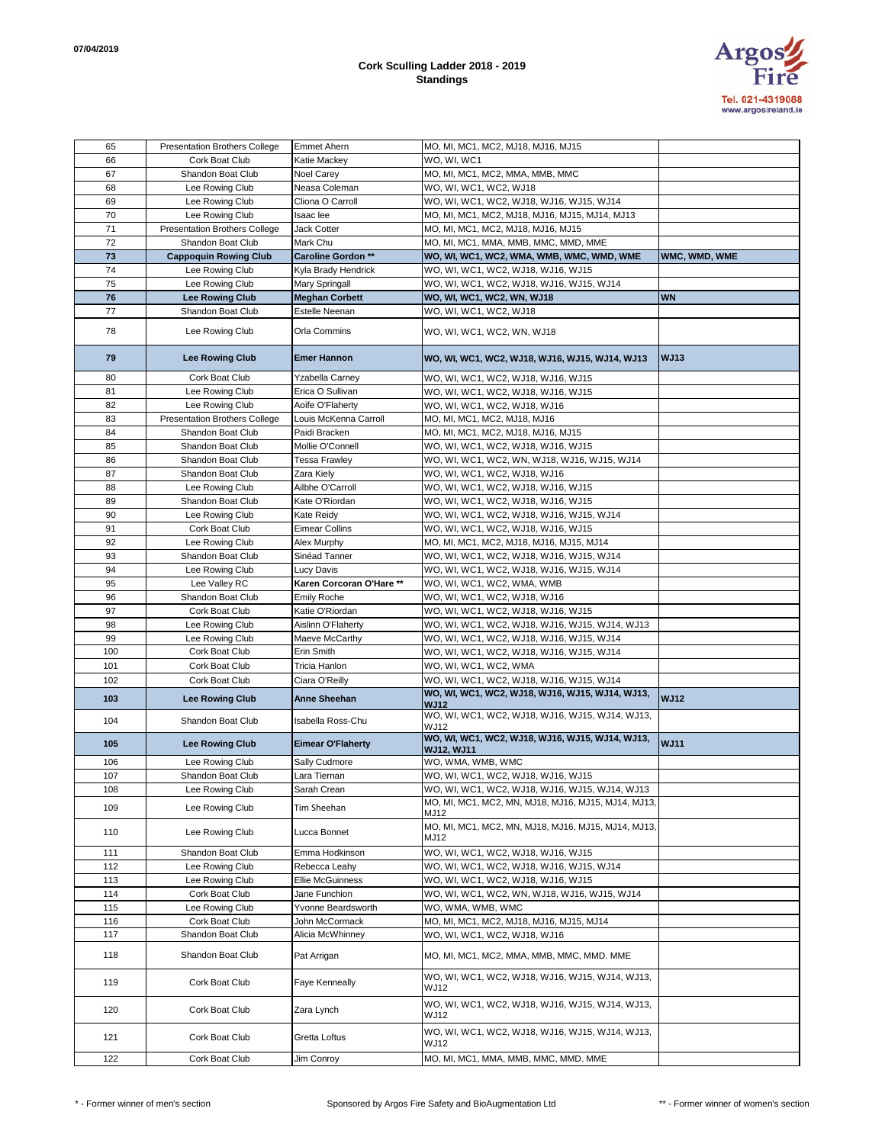## **Cork Sculling Ladder 2018 - 2019 Standings**



| 65  | Presentation Brothers College        | <b>Emmet Ahern</b>           | MO, MI, MC1, MC2, MJ18, MJ16, MJ15                                                                                               |               |
|-----|--------------------------------------|------------------------------|----------------------------------------------------------------------------------------------------------------------------------|---------------|
| 66  | Cork Boat Club                       | Katie Mackey                 | WO, WI, WC1                                                                                                                      |               |
| 67  | Shandon Boat Club                    | Noel Carey                   |                                                                                                                                  |               |
|     |                                      |                              | MO, MI, MC1, MC2, MMA, MMB, MMC                                                                                                  |               |
| 68  | Lee Rowing Club                      | Neasa Coleman                | WO, WI, WC1, WC2, WJ18                                                                                                           |               |
| 69  | Lee Rowing Club                      | Cliona O Carroll             | WO, WI, WC1, WC2, WJ18, WJ16, WJ15, WJ14                                                                                         |               |
| 70  | Lee Rowing Club                      | Isaac lee                    | MO, MI, MC1, MC2, MJ18, MJ16, MJ15, MJ14, MJ13                                                                                   |               |
| 71  | <b>Presentation Brothers College</b> | Jack Cotter                  | MO, MI, MC1, MC2, MJ18, MJ16, MJ15                                                                                               |               |
| 72  | Shandon Boat Club                    | Mark Chu                     | MO, MI, MC1, MMA, MMB, MMC, MMD, MME                                                                                             |               |
| 73  | <b>Cappoquin Rowing Club</b>         | <b>Caroline Gordon **</b>    | WO, WI, WC1, WC2, WMA, WMB, WMC, WMD, WME                                                                                        | WMC, WMD, WME |
| 74  | Lee Rowing Club                      | Kyla Brady Hendrick          | WO, WI, WC1, WC2, WJ18, WJ16, WJ15                                                                                               |               |
| 75  | Lee Rowing Club                      | Mary Springall               | WO, WI, WC1, WC2, WJ18, WJ16, WJ15, WJ14                                                                                         |               |
| 76  | <b>Lee Rowing Club</b>               | <b>Meghan Corbett</b>        | WO, WI, WC1, WC2, WN, WJ18                                                                                                       | <b>WN</b>     |
| 77  | Shandon Boat Club                    | Estelle Neenan               | WO, WI, WC1, WC2, WJ18                                                                                                           |               |
| 78  | Lee Rowing Club                      | Orla Commins                 | WO, WI, WC1, WC2, WN, WJ18                                                                                                       |               |
| 79  | <b>Lee Rowing Club</b>               | <b>Emer Hannon</b>           | WO, WI, WC1, WC2, WJ18, WJ16, WJ15, WJ14, WJ13                                                                                   | <b>WJ13</b>   |
| 80  | Cork Boat Club                       | Yzabella Carney              | WO, WI, WC1, WC2, WJ18, WJ16, WJ15                                                                                               |               |
| 81  | Lee Rowing Club                      | Erica O Sullivan             | WO, WI, WC1, WC2, WJ18, WJ16, WJ15                                                                                               |               |
| 82  | Lee Rowing Club                      | Aoife O'Flaherty             | WO, WI, WC1, WC2, WJ18, WJ16                                                                                                     |               |
| 83  | <b>Presentation Brothers College</b> | Louis McKenna Carroll        | MO, MI, MC1, MC2, MJ18, MJ16                                                                                                     |               |
| 84  | Shandon Boat Club                    | Paidi Bracken                | MO, MI, MC1, MC2, MJ18, MJ16, MJ15                                                                                               |               |
| 85  | Shandon Boat Club                    | Mollie O'Connell             | WO, WI, WC1, WC2, WJ18, WJ16, WJ15                                                                                               |               |
| 86  | Shandon Boat Club                    | <b>Tessa Frawley</b>         | WO, WI, WC1, WC2, WN, WJ18, WJ16, WJ15, WJ14                                                                                     |               |
| 87  | Shandon Boat Club                    | Zara Kiely                   | WO, WI, WC1, WC2, WJ18, WJ16                                                                                                     |               |
| 88  | Lee Rowing Club                      | Ailbhe O'Carroll             | WO, WI, WC1, WC2, WJ18, WJ16, WJ15                                                                                               |               |
| 89  | Shandon Boat Club                    | Kate O'Riordan               | WO, WI, WC1, WC2, WJ18, WJ16, WJ15                                                                                               |               |
| 90  | Lee Rowing Club                      | Kate Reidy                   | WO, WI, WC1, WC2, WJ18, WJ16, WJ15, WJ14                                                                                         |               |
| 91  | Cork Boat Club                       | <b>Eimear Collins</b>        | WO, WI, WC1, WC2, WJ18, WJ16, WJ15                                                                                               |               |
| 92  | Lee Rowing Club                      | Alex Murphy                  | MO, MI, MC1, MC2, MJ18, MJ16, MJ15, MJ14                                                                                         |               |
| 93  | Shandon Boat Club                    | Sinéad Tanner                | WO, WI, WC1, WC2, WJ18, WJ16, WJ15, WJ14                                                                                         |               |
| 94  | Lee Rowing Club                      | Lucy Davis                   | WO, WI, WC1, WC2, WJ18, WJ16, WJ15, WJ14                                                                                         |               |
| 95  | Lee Valley RC                        | Karen Corcoran O'Hare **     | WO, WI, WC1, WC2, WMA, WMB                                                                                                       |               |
| 96  | Shandon Boat Club                    | Emily Roche                  | WO, WI, WC1, WC2, WJ18, WJ16                                                                                                     |               |
| 97  | Cork Boat Club                       | Katie O'Riordan              | WO, WI, WC1, WC2, WJ18, WJ16, WJ15                                                                                               |               |
| 98  | Lee Rowing Club                      | Aislinn O'Flaherty           |                                                                                                                                  |               |
| 99  |                                      |                              | WO, WI, WC1, WC2, WJ18, WJ16, WJ15, WJ14, WJ13                                                                                   |               |
| 100 | Lee Rowing Club<br>Cork Boat Club    | Maeve McCarthy<br>Erin Smith | WO, WI, WC1, WC2, WJ18, WJ16, WJ15, WJ14                                                                                         |               |
|     |                                      |                              | WO, WI, WC1, WC2, WJ18, WJ16, WJ15, WJ14                                                                                         |               |
| 101 | Cork Boat Club                       | Tricia Hanlon                | WO, WI, WC1, WC2, WMA                                                                                                            |               |
| 102 | Cork Boat Club                       | Ciara O'Reilly               | WO, WI, WC1, WC2, WJ18, WJ16, WJ15, WJ14                                                                                         |               |
| 103 | Lee Rowing Club                      | <b>Anne Sheehan</b>          | WO, WI, WC1, WC2, WJ18, WJ16, WJ15, WJ14, WJ13,<br><b>WJ12</b><br><b>WJ12</b><br>WO, WI, WC1, WC2, WJ18, WJ16, WJ15, WJ14, WJ13, |               |
| 104 | Shandon Boat Club                    | Isabella Ross-Chu            | WJ12<br>WO, WI, WC1, WC2, WJ18, WJ16, WJ15, WJ14, WJ13,                                                                          |               |
| 105 | <b>Lee Rowing Club</b>               | <b>Eimear O'Flaherty</b>     | <b>WJ12, WJ11</b>                                                                                                                | <b>WJ11</b>   |
| 106 | Lee Rowing Club                      | Sally Cudmore                | WO, WMA, WMB, WMC                                                                                                                |               |
| 107 | Shandon Boat Club                    | Lara Tiernan                 | WO, WI, WC1, WC2, WJ18, WJ16, WJ15                                                                                               |               |
| 108 | Lee Rowing Club                      | Sarah Crean                  | WO, WI, WC1, WC2, WJ18, WJ16, WJ15, WJ14, WJ13                                                                                   |               |
| 109 | Lee Rowing Club                      | Tim Sheehan                  | MO, MI, MC1, MC2, MN, MJ18, MJ16, MJ15, MJ14, MJ13,<br>MJ12                                                                      |               |
| 110 | Lee Rowing Club                      | Lucca Bonnet                 | MO, MI, MC1, MC2, MN, MJ18, MJ16, MJ15, MJ14, MJ13,<br>MJ12                                                                      |               |
| 111 | Shandon Boat Club                    | Emma Hodkinson               | WO, WI, WC1, WC2, WJ18, WJ16, WJ15                                                                                               |               |
| 112 | Lee Rowing Club                      | Rebecca Leahy                | WO, WI, WC1, WC2, WJ18, WJ16, WJ15, WJ14                                                                                         |               |
| 113 | Lee Rowing Club                      | <b>Ellie McGuinness</b>      | WO, WI, WC1, WC2, WJ18, WJ16, WJ15                                                                                               |               |
| 114 | Cork Boat Club                       | Jane Funchion                | WO, WI, WC1, WC2, WN, WJ18, WJ16, WJ15, WJ14                                                                                     |               |
| 115 | Lee Rowing Club                      | Yvonne Beardsworth           | WO, WMA, WMB, WMC                                                                                                                |               |
| 116 | Cork Boat Club                       | John McCormack               | MO, MI, MC1, MC2, MJ18, MJ16, MJ15, MJ14                                                                                         |               |
| 117 | Shandon Boat Club                    | Alicia McWhinney             | WO, WI, WC1, WC2, WJ18, WJ16                                                                                                     |               |
| 118 | Shandon Boat Club                    | Pat Arrigan                  | MO, MI, MC1, MC2, MMA, MMB, MMC, MMD. MME                                                                                        |               |
| 119 | Cork Boat Club                       | Faye Kenneally               | WO, WI, WC1, WC2, WJ18, WJ16, WJ15, WJ14, WJ13,<br>WJ12                                                                          |               |
| 120 | Cork Boat Club                       | Zara Lynch                   | WO, WI, WC1, WC2, WJ18, WJ16, WJ15, WJ14, WJ13,<br><b>WJ12</b>                                                                   |               |
| 121 | Cork Boat Club                       | Gretta Loftus                | WO, WI, WC1, WC2, WJ18, WJ16, WJ15, WJ14, WJ13,<br>WJ12                                                                          |               |
| 122 | Cork Boat Club                       | Jim Conroy                   | MO, MI, MC1, MMA, MMB, MMC, MMD. MME                                                                                             |               |